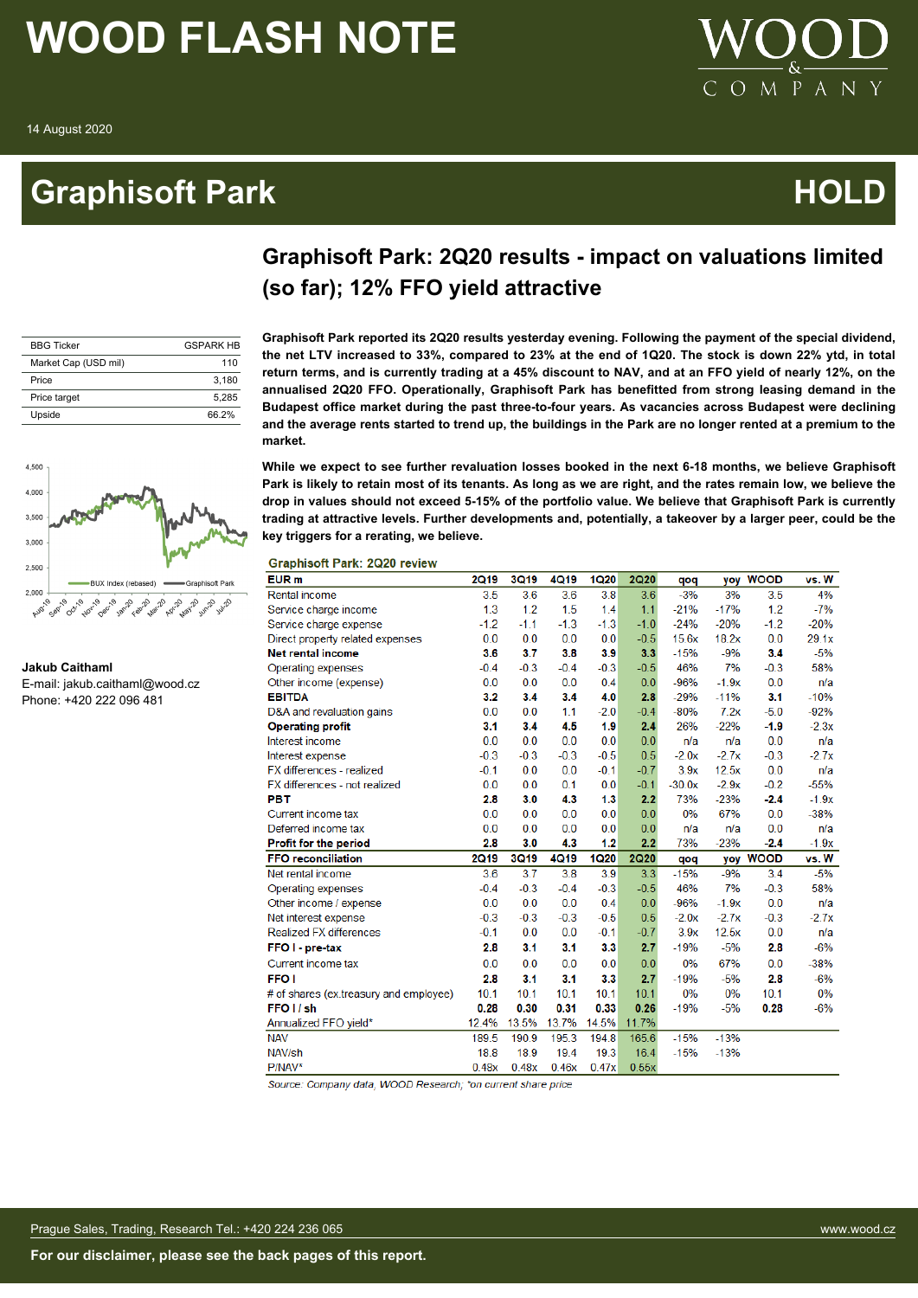### **Graphisoft Park Contract Contract Contract Contract Contract Contract Contract Contract Contract Contract Contract Contract Contract Contract Contract Contract Contract Contract Contract Contract Contract Contract Contrac**



### **Graphisoft Park: 2Q20 results - impact on valuations limited (so far); 12% FFO yield attractive**

| <b>BBG Ticker</b>    | <b>GSPARK HR</b> |
|----------------------|------------------|
| Market Cap (USD mil) | 110              |
| Price                | 3.180            |
| Price target         | 5.285            |
| Upside               | 66 2%            |

4,500 4.000 3,500 3,000 2,500  $2.000$ Agr. 19  $\Omega$ 

```
Jakub Caithaml
```
E-mail: jakub.caithaml@wood.cz Phone: +420 222 096 481

**Graphisoft Park reported its 2Q20 results yesterday evening. Following the payment of the special dividend, the net LTV increased to 33%, compared to 23% at the end of 1Q20. The stock is down 22% ytd, in total return terms, and is currently trading at a 45% discount to NAV, and at an FFO yield of nearly 12%, on the annualised 2Q20 FFO. Operationally, Graphisoft Park has benefitted from strong leasing demand in the Budapest office market during the past three-to-four years. As vacancies across Budapest were declining and the average rents started to trend up, the buildings in the Park are no longer rented at a premium to the market.**

**While we expect to see further revaluation losses booked in the next 6-18 months, we believe Graphisoft Park is likely to retain most of its tenants. As long as we are right, and the rates remain low, we believe the drop in values should not exceed 5-15% of the portfolio value. We believe that Graphisoft Park is currently trading at attractive levels. Further developments and, potentially, a takeover by a larger peer, could be the key triggers for a rerating, we believe.**

**Graphisoft Park: 2Q20 review** 

| EUR <sub>m</sub>                       | <b>2Q19</b> | <b>3Q19</b> | 4Q19   | <b>1Q20</b> | <b>2Q20</b> | qoq      | <b>VOV</b> | <b>WOOD</b> | vs. W   |
|----------------------------------------|-------------|-------------|--------|-------------|-------------|----------|------------|-------------|---------|
| Rental income                          | 3.5         | 3.6         | 3.6    | 3.8         | 3.6         | $-3%$    | 3%         | 3.5         | 4%      |
| Service charge income                  | 1.3         | 1.2         | 1.5    | 1.4         | 1.1         | $-21%$   | $-17%$     | 1.2         | $-7%$   |
| Service charge expense                 | $-1.2$      | $-1.1$      | $-1.3$ | $-1.3$      | $-1.0$      | $-24%$   | $-20%$     | $-1.2$      | $-20%$  |
| Direct property related expenses       | 0.0         | 0.0         | 0.0    | 0.0         | $-0.5$      | 15.6x    | 18.2x      | 0.0         | 29.1x   |
| <b>Net rental income</b>               | 3.6         | 3.7         | 3.8    | 3.9         | 3.3         | $-15%$   | $-9%$      | 3.4         | $-5%$   |
| Operating expenses                     | $-0.4$      | $-0.3$      | $-0.4$ | $-0.3$      | $-0.5$      | 46%      | 7%         | $-0.3$      | 58%     |
| Other income (expense)                 | 0.0         | 0.0         | 0.0    | 0.4         | 0.0         | $-96%$   | $-1.9x$    | 0.0         | n/a     |
| <b>EBITDA</b>                          | 3.2         | 3.4         | 3.4    | 4.0         | 2.8         | $-29%$   | $-11%$     | 3.1         | $-10%$  |
| D&A and revaluation gains              | 0.0         | 0.0         | 1.1    | $-2.0$      | $-0.4$      | $-80%$   | 7.2x       | $-5.0$      | $-92%$  |
| <b>Operating profit</b>                | 3.1         | 3.4         | 4.5    | 1.9         | 2.4         | 26%      | $-22%$     | $-1.9$      | $-2.3x$ |
| Interest income                        | 0.0         | 0.0         | 0.0    | 0.0         | 0.0         | n/a      | n/a        | 0.0         | n/a     |
| Interest expense                       | $-0.3$      | $-0.3$      | $-0.3$ | $-0.5$      | 0.5         | $-2.0x$  | $-2.7x$    | $-0.3$      | $-2.7x$ |
| FX differences - realized              | $-0.1$      | 0.0         | 0.0    | $-0.1$      | $-0.7$      | 3.9x     | 12.5x      | 0.0         | n/a     |
| FX differences - not realized          | 0.0         | 0.0         | 0.1    | 0.0         | $-0.1$      | $-30.0x$ | $-2.9x$    | $-0.2$      | $-55%$  |
| <b>PBT</b>                             | 2.8         | 3.0         | 4.3    | 1.3         | 2.2         | 73%      | $-23%$     | $-2.4$      | $-1.9x$ |
| Current income tax                     | 0.0         | 0.0         | 0.0    | 0.0         | 0.0         | 0%       | 67%        | 0.0         | $-38%$  |
| Deferred income tax                    | 0.0         | 0.0         | 0.0    | 0.0         | 0.0         | n/a      | n/a        | 0.0         | n/a     |
| Profit for the period                  | 2.8         | 3.0         | 4.3    | 1.2         | 2.2         | 73%      | $-23%$     | $-2.4$      | $-1.9x$ |
| <b>FFO reconciliation</b>              | <b>2Q19</b> | <b>3Q19</b> | 4Q19   | <b>1Q20</b> | <b>2Q20</b> | qoq      | yoy        | <b>WOOD</b> | vs. W   |
| Net rental income                      | 3.6         | 3.7         | 3.8    | 3.9         | 3.3         | $-15%$   | $-9%$      | 3.4         | $-5%$   |
| Operating expenses                     | $-0.4$      | $-0.3$      | $-0.4$ | $-0.3$      | $-0.5$      | 46%      | 7%         | $-0.3$      | 58%     |
| Other income / expense                 | 0.0         | 0.0         | 0.0    | 0.4         | 0.0         | $-96%$   | $-1.9x$    | 0.0         | n/a     |
| Net interest expense                   | $-0.3$      | $-0.3$      | $-0.3$ | $-0.5$      | 0.5         | $-2.0x$  | $-2.7x$    | $-0.3$      | $-2.7x$ |
| <b>Realized FX differences</b>         | $-0.1$      | 0.0         | 0.0    | $-0.1$      | $-0.7$      | 3.9x     | 12.5x      | 0.0         | n/a     |
| FFO I - pre-tax                        | 2.8         | 3.1         | 3.1    | 3.3         | 2.7         | $-19%$   | $-5%$      | 2.8         | $-6%$   |
| Current income tax                     | 0.0         | 0.0         | 0.0    | 0.0         | 0.0         | 0%       | 67%        | 0.0         | $-38%$  |
| FFO <sub>1</sub>                       | 2.8         | 3.1         | 3.1    | 3.3         | 2.7         | $-19%$   | $-5%$      | 2.8         | $-6%$   |
| # of shares (ex.treasury and employee) | 10.1        | 10.1        | 10.1   | 10.1        | 10.1        | 0%       | 0%         | 10.1        | 0%      |
| FFO <sub>I</sub> /sh                   | 0.28        | 0.30        | 0.31   | 0.33        | 0.26        | $-19%$   | $-5%$      | 0.28        | $-6%$   |
| Annualized FFO yield*                  | 12.4%       | 13.5%       | 13.7%  | 14.5%       | 11.7%       |          |            |             |         |
| <b>NAV</b>                             | 189.5       | 190.9       | 195.3  | 194.8       | 165.6       | $-15%$   | $-13%$     |             |         |
| NAV/sh                                 | 18.8        | 18.9        | 19.4   | 19.3        | 16.4        | $-15%$   | $-13%$     |             |         |
| P/NAV*                                 | 0.48x       | 0.48x       | 0.46x  | 0.47x       | 0.55x       |          |            |             |         |

Source: Company data, WOOD Research; \*on current share price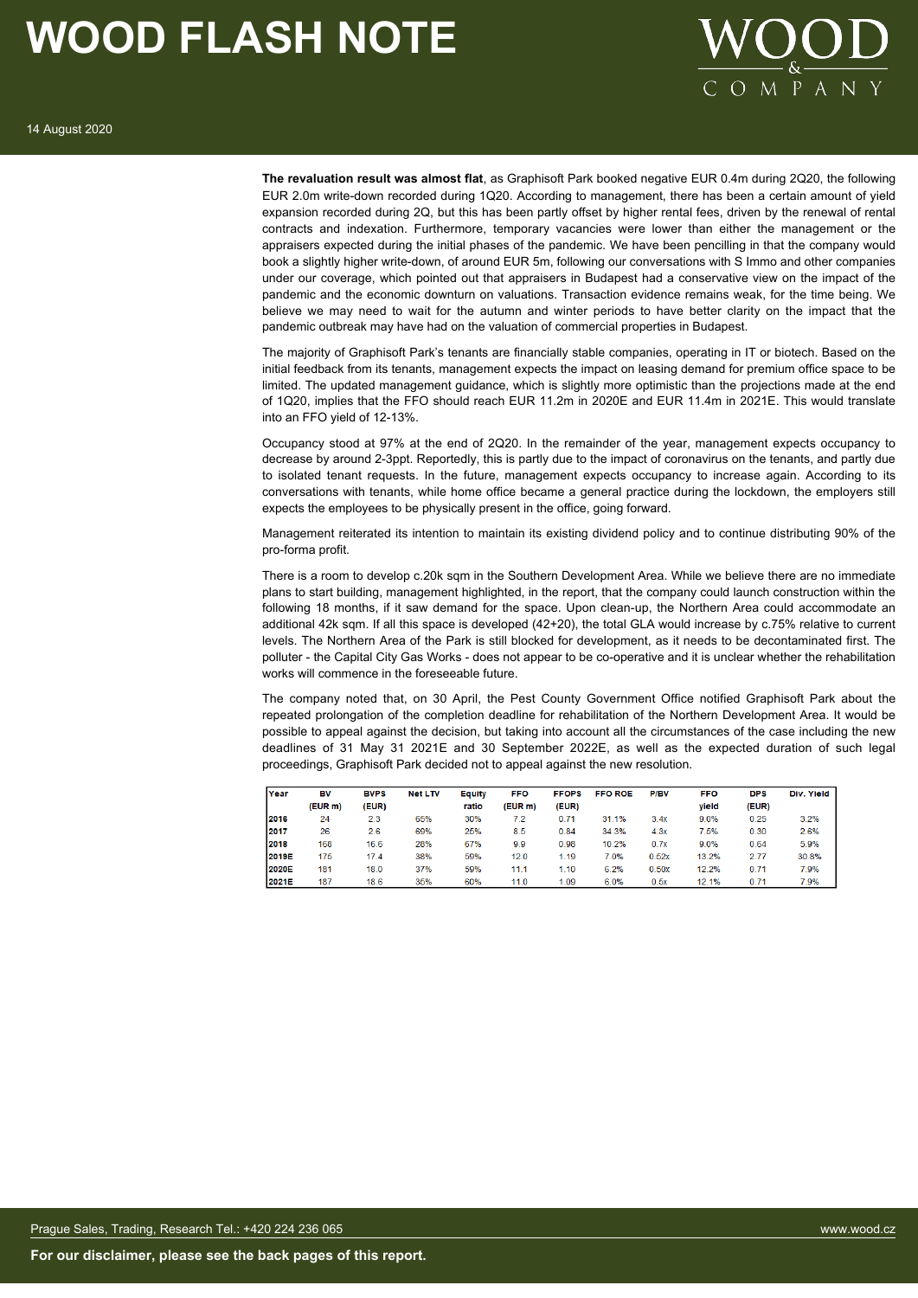

**The revaluation result was almost flat**, as Graphisoft Park booked negative EUR 0.4m during 2Q20, the following EUR 2.0m write-down recorded during 1Q20. According to management, there has been a certain amount of yield expansion recorded during 2Q, but this has been partly offset by higher rental fees, driven by the renewal of rental contracts and indexation. Furthermore, temporary vacancies were lower than either the management or the appraisers expected during the initial phases of the pandemic. We have been pencilling in that the company would book a slightly higher write-down, of around EUR 5m, following our conversations with S Immo and other companies under our coverage, which pointed out that appraisers in Budapest had a conservative view on the impact of the pandemic and the economic downturn on valuations. Transaction evidence remains weak, for the time being. We believe we may need to wait for the autumn and winter periods to have better clarity on the impact that the pandemic outbreak may have had on the valuation of commercial properties in Budapest.

The majority of Graphisoft Park's tenants are financially stable companies, operating in IT or biotech. Based on the initial feedback from its tenants, management expects the impact on leasing demand for premium office space to be limited. The updated management guidance, which is slightly more optimistic than the projections made at the end of 1Q20, implies that the FFO should reach EUR 11.2m in 2020E and EUR 11.4m in 2021E. This would translate into an FFO yield of 12-13%.

Occupancy stood at 97% at the end of 2Q20. In the remainder of the year, management expects occupancy to decrease by around 2-3ppt. Reportedly, this is partly due to the impact of coronavirus on the tenants, and partly due to isolated tenant requests. In the future, management expects occupancy to increase again. According to its conversations with tenants, while home office became a general practice during the lockdown, the employers still expects the employees to be physically present in the office, going forward.

Management reiterated its intention to maintain its existing dividend policy and to continue distributing 90% of the pro-forma profit.

There is a room to develop c.20k sqm in the Southern Development Area. While we believe there are no immediate plans to start building, management highlighted, in the report, that the company could launch construction within the following 18 months, if it saw demand for the space. Upon clean-up, the Northern Area could accommodate an additional 42k sqm. If all this space is developed (42+20), the total GLA would increase by c.75% relative to current levels. The Northern Area of the Park is still blocked for development, as it needs to be decontaminated first. The polluter - the Capital City Gas Works - does not appear to be co-operative and it is unclear whether the rehabilitation works will commence in the foreseeable future.

The company noted that, on 30 April, the Pest County Government Office notified Graphisoft Park about the repeated prolongation of the completion deadline for rehabilitation of the Northern Development Area. It would be possible to appeal against the decision, but taking into account all the circumstances of the case including the new deadlines of 31 May 31 2021E and 30 September 2022E, as well as the expected duration of such legal proceedings, Graphisoft Park decided not to appeal against the new resolution.

| Year  | BV      | <b>BVPS</b> | <b>Net LTV</b> | Equity | <b>FFO</b> | <b>FFOPS</b> | <b>FFO ROE</b> | P/BV  | <b>FFO</b> | <b>DPS</b> | Div. Yield |
|-------|---------|-------------|----------------|--------|------------|--------------|----------------|-------|------------|------------|------------|
|       | (EUR m) | (EUR)       |                | ratio  | (EUR m)    | (EUR)        |                |       | vield      | (EUR)      |            |
| 2016  | 24      | 2.3         | 65%            | 30%    | 7.2        | 0.71         | 31.1%          | 3.4x  | 9.0%       | 0.25       | 3.2%       |
| 2017  | 26      | 2.6         | 69%            | 25%    | 8.5        | 0.84         | 34.3%          | 4.3x  | 7.5%       | 0.30       | 2.6%       |
| 2018  | 168     | 16.6        | 28%            | 67%    | 9.9        | 0.98         | 10.2%          | 0.7x  | 9.0%       | 0.64       | 5.9%       |
| 2019E | 175     | 17.4        | 38%            | 59%    | 12.0       | 1.19         | 7.0%           | 0.52x | 13.2%      | 2.77       | 30.8%      |
| 2020E | 181     | 18.0        | 37%            | 59%    | 11.1       | 1.10         | 6.2%           | 0.50x | 12.2%      | 0.71       | 7.9%       |
| 2021E | 187     | 18.6        | 35%            | 60%    | 11.0       | 1.09         | 6.0%           | 0.5x  | 12.1%      | 0.71       | 7.9%       |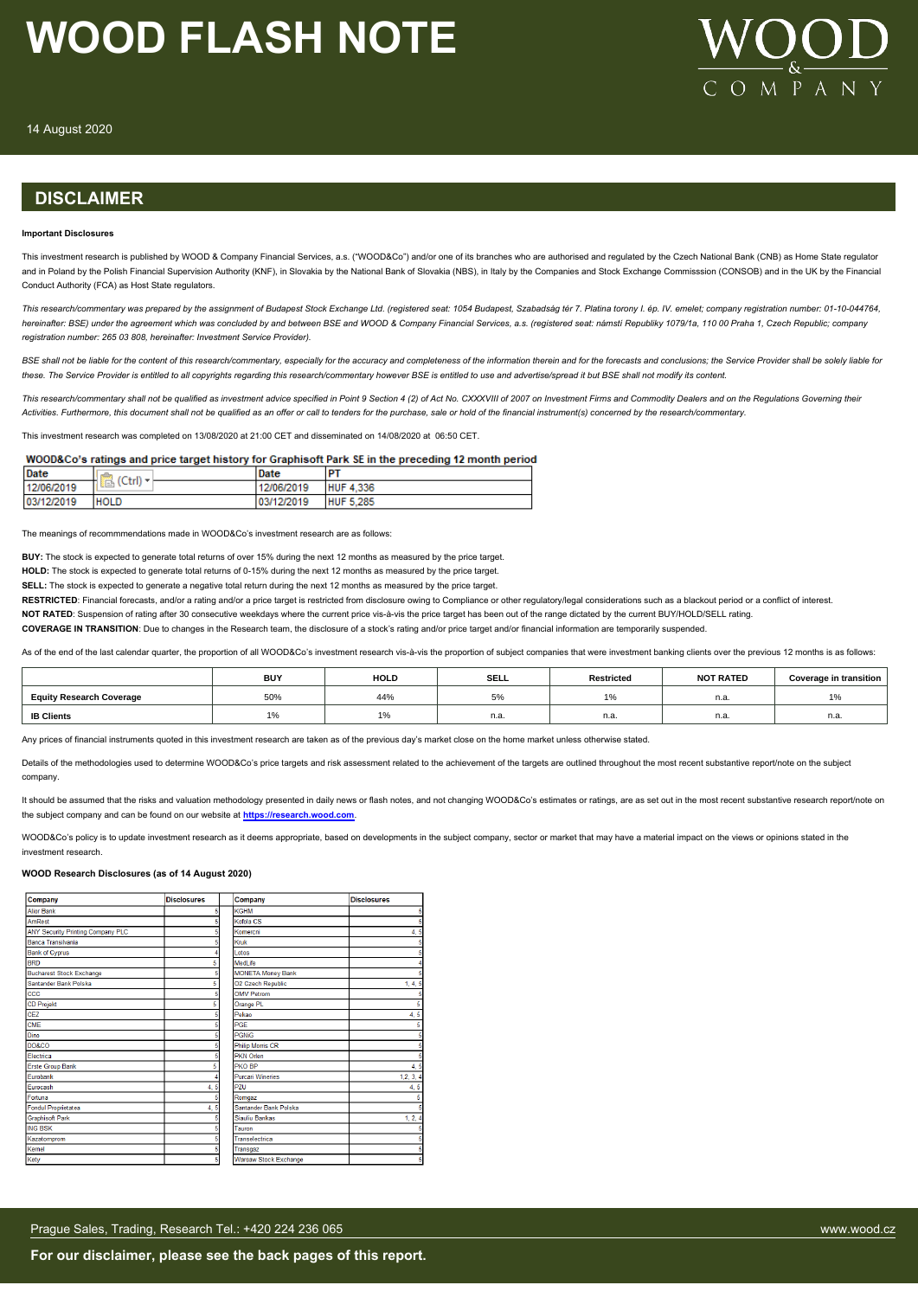

14 August 2020

### **DISCLAIMER**

#### **Important Disclosures**

This investment research is published by WOOD & Company Financial Services, a.s. ("WOOD&Co") and/or one of its branches who are authorised and regulated by the Czech National Bank (CNB) as Home State regulator and in Poland by the Polish Financial Supervision Authority (KNF), in Slovakia by the National Bank of Slovakia (NBS), in Italy by the Companies and Stock Exchange Commisssion (CONSOB) and in the UK by the Financial Conduct Authority (FCA) as Host State regulators.

*This research/commentary was prepared by the assignment of Budapest Stock Exchange Ltd. (registered seat: 1054 Budapest, Szabadság tér 7. Platina torony I. ép. IV. emelet; company registration number: 01-10-044764, hereinafter: BSE) under the agreement which was concluded by and between BSE and WOOD & Company Financial Services, a.s. (registered seat: námstí Republiky 1079/1a, 110 00 Praha 1, Czech Republic; company registration number: 265 03 808, hereinafter: Investment Service Provider).*

BSE shall not be liable for the content of this research/commentary, especially for the accuracy and completeness of the information therein and for the forecasts and conclusions: the Service Provider shall be solely liabl *these. The Service Provider is entitled to all copyrights regarding this research/commentary however BSE is entitled to use and advertise/spread it but BSE shall not modify its content.*

*This research/commentary shall not be qualified as investment advice specified in Point 9 Section 4 (2) of Act No. CXXXVIII of 2007 on Investment Firms and Commodity Dealers and on the Regulations Governing their Activities. Furthermore, this document shall not be qualified as an offer or call to tenders for the purchase, sale or hold of the financial instrument(s) concerned by the research/commentary.*

This investment research was completed on 13/08/2020 at 21:00 CET and disseminated on 14/08/2020 at 06:50 CET.

#### WOOD&Co's ratings and price target history for Graphisoft Park SE in the preceding 12 month period

| <b>IDate</b> | $\sim$<br>(Ctr) | <b>Date</b> | ۱۲               |  |
|--------------|-----------------|-------------|------------------|--|
| 12/06/2019   | Æ               | 12/06/2019  | <b>HUF 4,336</b> |  |
| 03/12/2019   | <b>HOLD</b>     | 03/12/2019  | <b>HUF 5.285</b> |  |

The meanings of recommmendations made in WOOD&Co's investment research are as follows:

**BUY:** The stock is expected to generate total returns of over 15% during the next 12 months as measured by the price target.

**HOLD:** The stock is expected to generate total returns of 0-15% during the next 12 months as measured by the price target.

**SELL:** The stock is expected to generate a negative total return during the next 12 months as measured by the price target.

RESTRICTED: Financial forecasts, and/or a rating and/or a price target is restricted from disclosure owing to Compliance or other regulatory/legal considerations such as a blackout period or a conflict of interest.

NOT RATED: Suspension of rating after 30 consecutive weekdays where the current price vis-à-vis the price target has been out of the range dictated by the current BUY/HOLD/SELL rating.

**COVERAGE IN TRANSITION**: Due to changes in the Research team, the disclosure of a stock's rating and/or price target and/or financial information are temporarily suspended.

As of the end of the last calendar quarter, the proportion of all WOOD&Co's investment research vis-à-vis the proportion of subject companies that were investment banking clients over the previous 12 months is as follows:

|                                 | <b>BUY</b> | <b>HOLD</b> | <b>SELL</b> | <b>Restricted</b> | <b>NOT RATED</b> | <b>Coverage in transition</b> |
|---------------------------------|------------|-------------|-------------|-------------------|------------------|-------------------------------|
| <b>Equity Research Coverage</b> | 50%        | 44%         | $\cup$ /0   | $\overline{a}$    | n.a              | $\frac{1}{2}$                 |
| <b>IB Clients</b>               | <b>170</b> | $\cdots$    | n.a.        | n.a.              | n.a              | n.a.                          |

Any prices of financial instruments quoted in this investment research are taken as of the previous day's market close on the home market unless otherwise stated.

Details of the methodologies used to determine WOOD&Co's price targets and risk assessment related to the achievement of the targets are outlined throughout the most recent substantive report/note on the subject company.

It should be assumed that the risks and valuation methodology presented in daily news or flash notes, and not changing WOOD&Co's estimates or ratings, are as set out in the most recent substantive research report/note on the subject company and can be found on our website at **[https://research.wood.com](https://research.wood.com/)**.

WOOD&Co's policy is to update investment research as it deems appropriate, based on developments in the subject company, sector or market that may have a material impact on the views or opinions stated in the investment research.

#### **WOOD Research Disclosures (as of 14 August 2020)**

| Company                           | <b>Disclosures</b> | Company                      | <b>Disclosures</b> |
|-----------------------------------|--------------------|------------------------------|--------------------|
| <b>Alior Bank</b>                 | 5                  | <b>KGHM</b>                  |                    |
| <b>AmRest</b>                     |                    | Kofola CS                    |                    |
| ANY Security Printing Company PLC |                    | Komercni                     | 4, 5               |
| Banca Transilvania                |                    | Kruk                         |                    |
| <b>Bank of Cyprus</b>             |                    | Lotos                        |                    |
| <b>BRD</b>                        | 5                  | MedLife                      |                    |
| <b>Bucharest Stock Exchange</b>   |                    | <b>MONETA Money Bank</b>     |                    |
| Santander Bank Polska             | 5                  | O2 Czech Republic            | 1, 4, 5            |
| ccc                               |                    | <b>OMV Petrom</b>            |                    |
| <b>CD Projekt</b>                 |                    | Orange PL                    | 5                  |
| CEZ                               |                    | Pekao                        | 4, 5               |
| CME                               |                    | PGE                          | 5                  |
| Dino                              | 5                  | <b>PGNiG</b>                 |                    |
| DO&CO                             |                    | <b>Philip Morris CR</b>      |                    |
| Electrica                         |                    | <b>PKN Orlen</b>             |                    |
| <b>Erste Group Bank</b>           | 5                  | PKO BP                       | 4, 5               |
| Eurobank                          |                    | <b>Purcari Wineries</b>      | 1, 2, 3, 4         |
| Eurocash                          | 4, 5               | <b>PZU</b>                   | 4, 5               |
| Fortuna                           |                    | Romgaz                       |                    |
| <b>Fondul Proprietatea</b>        | 4, 5               | Santander Bank Polska        |                    |
| <b>Graphisoft Park</b>            |                    | Siauliu Bankas               | 1, 2, 4            |
| <b>ING BSK</b>                    |                    | Tauron                       |                    |
| Kazatomprom                       |                    | Transelectrica               |                    |
| Kernel                            |                    | Transgaz                     |                    |
| Kety                              | 5                  | <b>Warsaw Stock Exchange</b> |                    |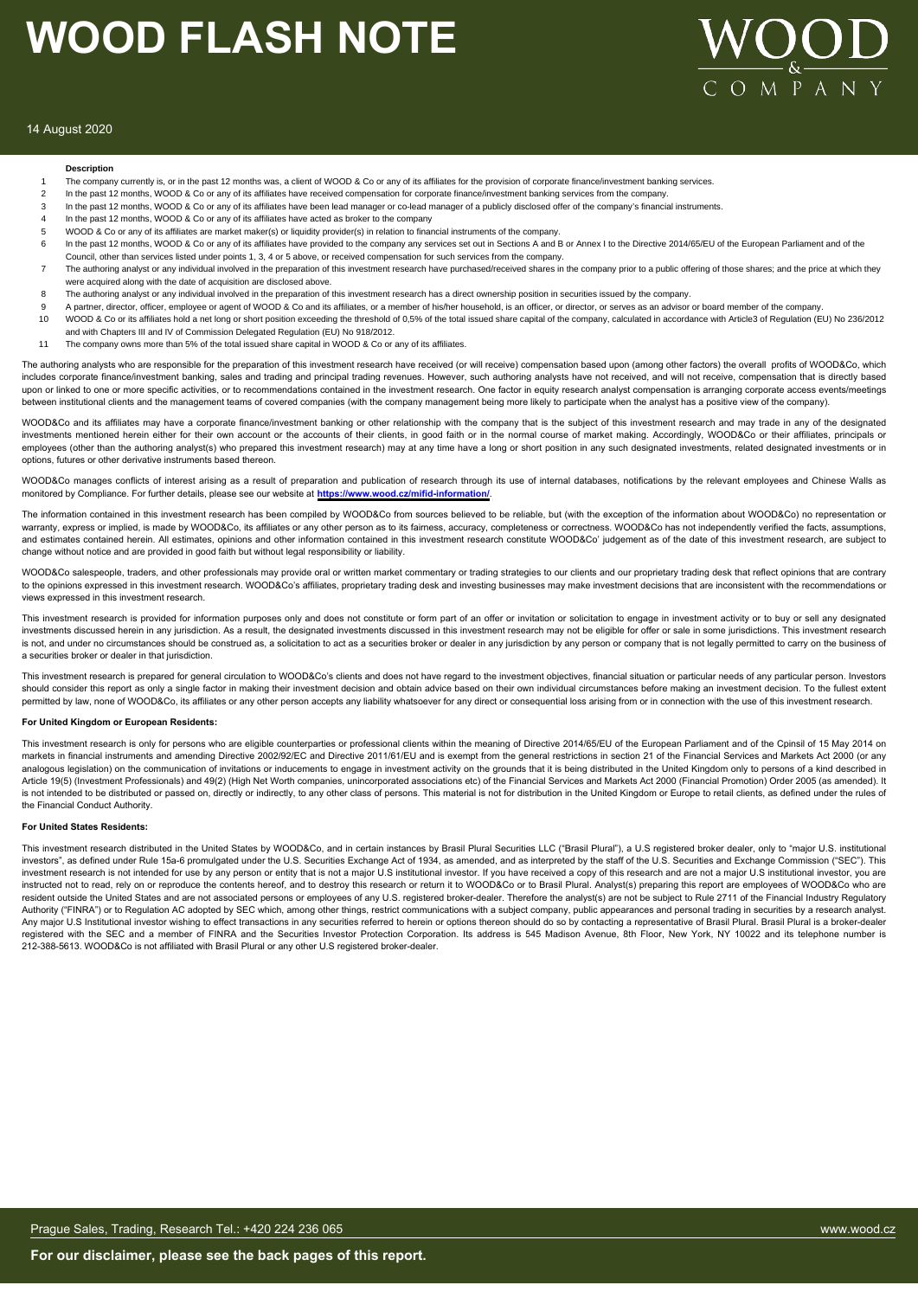

#### 14 August 2020

#### **Description**

- The company currently is, or in the past 12 months was, a client of WOOD & Co or any of its affiliates for the provision of corporate finance/investment banking services.
- 2 In the past 12 months, WOOD & Co or any of its affiliates have received compensation for corporate finance/investment banking services from the company
- 3 In the past 12 months, WOOD & Co or any of its affiliates have been lead manager or co-lead manager of a publicly disclosed offer of the company's financial instruments.
- 4 In the past 12 months, WOOD & Co or any of its affiliates have acted as broker to the company
- 5 WOOD & Co or any of its affiliates are market maker(s) or liquidity provider(s) in relation to financial instruments of the company.
- 6 In the past 12 months, WOOD & Co or any of its affiliates have provided to the company any services set out in Sections A and B or Annex I to the Directive 2014/65/EU of the European Parliament and of the Council, other than services listed under points 1, 3, 4 or 5 above, or received compensation for such services from the company.
- The authoring analyst or any individual involved in the preparation of this investment research have purchased/received shares in the company prior to a public offering of those shares; and the price at which they were acquired along with the date of acquisition are disclosed above.
- 8 The authoring analyst or any individual involved in the preparation of this investment research has a direct ownership position in securities issued by the company.
- 9 A partner, director, officer, employee or agent of WOOD & Co and its affiliates, or a member of his/her household, is an officer, or director, or serves as an advisor or board member of the company
- 10 WOOD & Co or its affiliates hold a net long or short position exceeding the threshold of 0,5% of the total issued share capital of the company, calculated in accordance with Article3 of Regulation (EU) No 236/2012 and with Chapters III and IV of Commission Delegated Regulation (EU) No 918/2012.
- 11 The company owns more than 5% of the total issued share capital in WOOD & Co or any of its affiliates.

The authoring analysts who are responsible for the preparation of this investment research have received (or will receive) compensation based upon (among other factors) the overall profits of WOOD&Co, which includes corporate finance/investment banking, sales and trading and principal trading revenues. However, such authoring analysts have not received, and will not receive, compensation that is directly based upon or linked to one or more specific activities, or to recommendations contained in the investment research. One factor in equity research analyst compensation is arranging corporate access events/meetings een institutional clients and the management teams of covered companies (with the company management being more likely to participate when the analyst has a positive view of the company).

WOOD&Co and its affiliates may have a corporate finance/investment banking or other relationship with the company that is the subject of this investment research and may trade in any of the designated investments mentioned herein either for their own account or the accounts of their clients, in good faith or in the normal course of market making. Accordingly, WOOD&Co or their affiliates, principals or employees (other than the authoring analyst(s) who prepared this investment research) may at any time have a long or short position in any such designated investments, related designated investments or in options, futures or other derivative instruments based thereon.

WOOD&Co manages conflicts of interest arising as a result of preparation and publication of research through its use of internal databases, notifications by the relevant employees and Chinese Walls as monitored by Compliance. For further details, please see our website at **https://www.wood.cz/mifid-information/**.

The information contained in this investment research has been compiled by WOOD&Co from sources believed to be reliable, but (with the exception of the information about WOOD&Co) no representation or warranty, express or implied, is made by WOOD&Co, its affiliates or any other person as to its fairness, accuracy, completeness or correctness. WOOD&Co has not independently verified the facts, assumptions, and estimates contained herein. All estimates, opinions and other information contained in this investment research constitute WOOD&Co' judgement as of the date of this investment research, are subject to change without notice and are provided in good faith but without legal responsibility or liability.

WOOD&Co salespeople, traders, and other professionals may provide oral or written market commentary or trading strategies to our clients and our proprietary trading desk that reflect opinions that are contrary to the opinions expressed in this investment research. WOOD&Co's affiliates, proprietary trading desk and investing businesses may make investment decisions that are inconsistent with the recommendations or views expressed in this investment research.

This investment research is provided for information purposes only and does not constitute or form part of an offer or invitation or solicitation to engage in investment activity or to buy or sell any designated investments discussed herein in any jurisdiction. As a result, the designated investments discussed in this investment research may not be eligible for offer or sale in some jurisdictions. This investment research is not, and under no circumstances should be construed as, a solicitation to act as a securities broker or dealer in any jurisdiction by any person or company that is not legally permitted to carry on the business of a securities broker or dealer in that jurisdiction.

This investment research is prepared for general circulation to WOOD&Co's clients and does not have regard to the investment objectives, financial situation or particular needs of any particular person. Investors should consider this report as only a single factor in making their investment decision and obtain advice based on their own individual circumstances before making an investment decision. To the fullest extent permitted by law, none of WOOD&Co, its affiliates or any other person accepts any liability whatsoever for any direct or consequential loss arising from or in connection with the use of this investment research.

#### **For United Kingdom or European Residents:**

This investment research is only for persons who are eligible counterparties or professional clients within the meaning of Directive 2014/65/EU of the European Parliament and of the Cpinsil of 15 May 2014 on markets in financial instruments and amending Directive 2002/92/EC and Directive 2011/61/EU and is exempt from the general restrictions in section 21 of the Financial Services and Markets Act 2000 (or any analogous legislation) on the communication of invitations or inducements to engage in investment activity on the grounds that it is being distributed in the United Kingdom only to persons of a kind described in Article 19(5) (Investment Professionals) and 49(2) (High Net Worth companies, unincorporated associations etc) of the Financial Services and Markets Act 2000 (Financial Promotion) Order 2005 (as amended). It is not intended to be distributed or passed on, directly or indirectly, to any other class of persons. This material is not for distribution in the United Kingdom or Europe to retail clients, as defined under the rules of the Financial Conduct Authority.

#### **For United States Residents:**

This investment research distributed in the United States by WOOD&Co, and in certain instances by Brasil Plural Securities LLC ("Brasil Plural"), a U.S registered broker dealer, only to "major U.S. institutional investors", as defined under Rule 15a-6 promulgated under the U.S. Securities Exchange Act of 1934, as amended, and as interpreted by the staff of the U.S. Securities and Exchange Commission ("SEC"). This investment research is not intended for use by any person or entity that is not a major U.S institutional investor. If you have received a copy of this research and are not a major U.S institutional investor, you are instructed not to read, rely on or reproduce the contents hereof, and to destroy this research or return it to WOOD&Co or to Brasil Plural. Analyst(s) preparing this report are employees of WOOD&Co who are resident outside the United States and are not associated persons or employees of any U.S. registered broker-dealer. Therefore the analyst(s) are not be subject to Rule 2711 of the Financial Industry Regulatory Authority ("FINRA") or to Regulation AC adopted by SEC which, among other things, restrict communications with a subject company, public appearances and personal trading in securities by a research analyst. Any major U.S Institutional investor wishing to effect transactions in any securities referred to herein or options thereon should do so by contacting a representative of Brasil Plural. Brasil Plural is a broker-dealer registered with the SEC and a member of FINRA and the Securities Investor Protection Corporation. Its address is 545 Madison Avenue, 8th Floor, New York, NY 10022 and its telephone number is 212-388-5613. WOOD&Co is not affiliated with Brasil Plural or any other U.S registered broker-dealer.